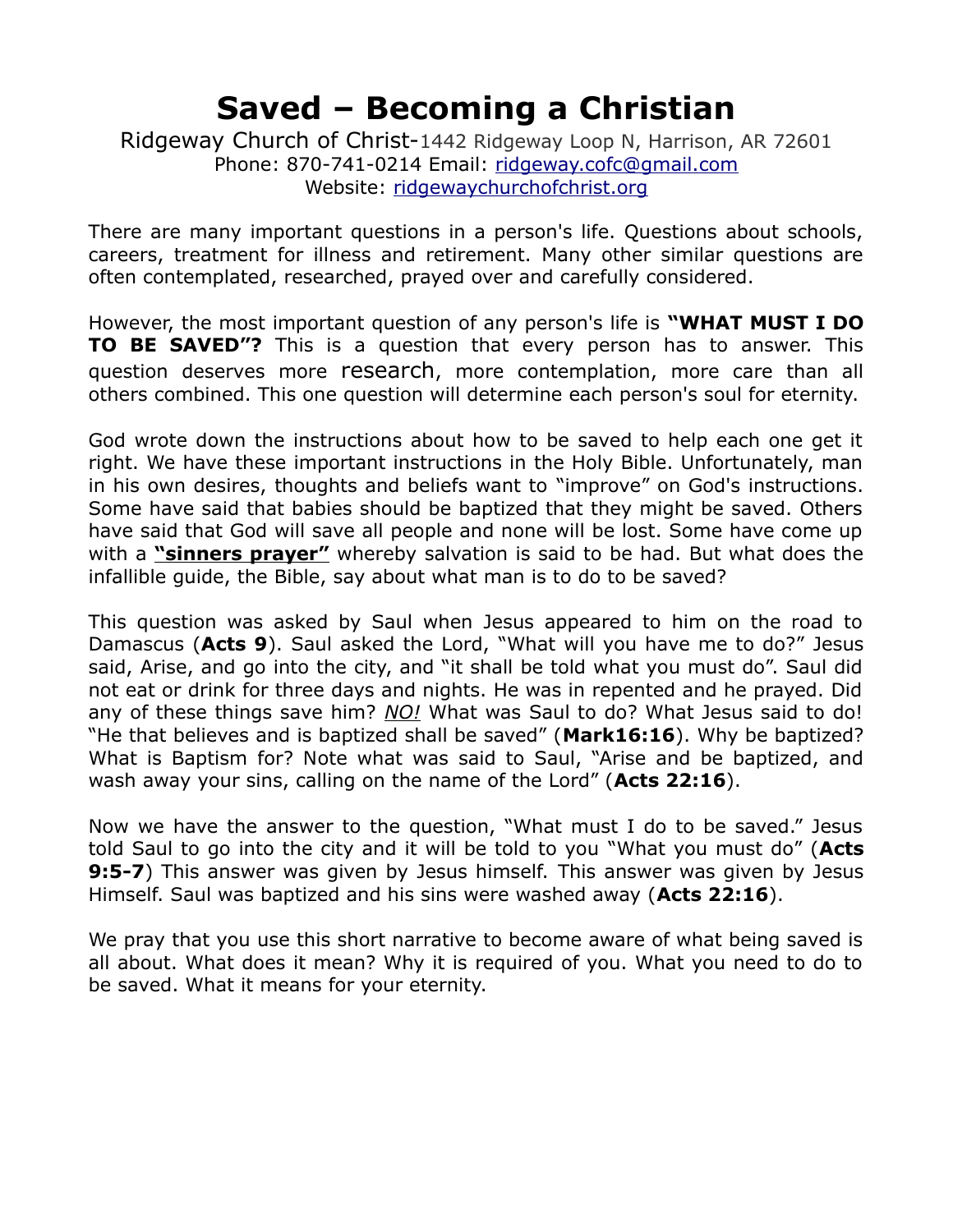Ridgeway Church of Christ-1442 Ridgeway Loop N, Harrison, AR 72601 Phone: 870-741-0214 Email: [ridgeway.cofc@gmail.com](mailto:ridgeway.cofc@gmail.com) Website: [ridgewaychurchofchrist.org](http://www.ridgewaychurchofchrist.org/)

There are many important questions in a person's life. Questions about schools, careers, treatment for illness and retirement. Many other similar questions are often contemplated, researched, prayed over and carefully considered.

However, the most important question of any person's life is **"WHAT MUST I DO TO BE SAVED"?** This is a question that every person has to answer. This question deserves more research, more contemplation, more care than all others combined. This one question will determine each person's soul for eternity.

God wrote down the instructions about how to be saved to help each one get it right. We have these important instructions in the Holy Bible. Unfortunately, man in his own desires, thoughts and beliefs want to "improve" on God's instructions. Some have said that babies should be baptized that they might be saved. Others have said that God will save all people and none will be lost. Some have come up with a **"sinners prayer"** whereby salvation is said to be had. But what does the infallible guide, the Bible, say about what man is to do to be saved?

This question was asked by Saul when Jesus appeared to him on the road to Damascus (**Acts 9**). Saul asked the Lord, "What will you have me to do?" Jesus said, Arise, and go into the city, and "it shall be told what you must do". Saul did not eat or drink for three days and nights. He was in repented and he prayed. Did any of these things save him? *NO!* What was Saul to do? What Jesus said to do! "He that believes and is baptized shall be saved" (**Mark16:16**). Why be baptized? What is Baptism for? Note what was said to Saul, "Arise and be baptized, and wash away your sins, calling on the name of the Lord" (**Acts 22:16**).

Now we have the answer to the question, "What must I do to be saved." Jesus told Saul to go into the city and it will be told to you "What you must do" (**Acts 9:5-7**) This answer was given by Jesus himself. This answer was given by Jesus Himself. Saul was baptized and his sins were washed away (**Acts 22:16**).

We pray that you use this short narrative to become aware of what being saved is all about. What does it mean? Why it is required of you. What you need to do to be saved. What it means for your eternity.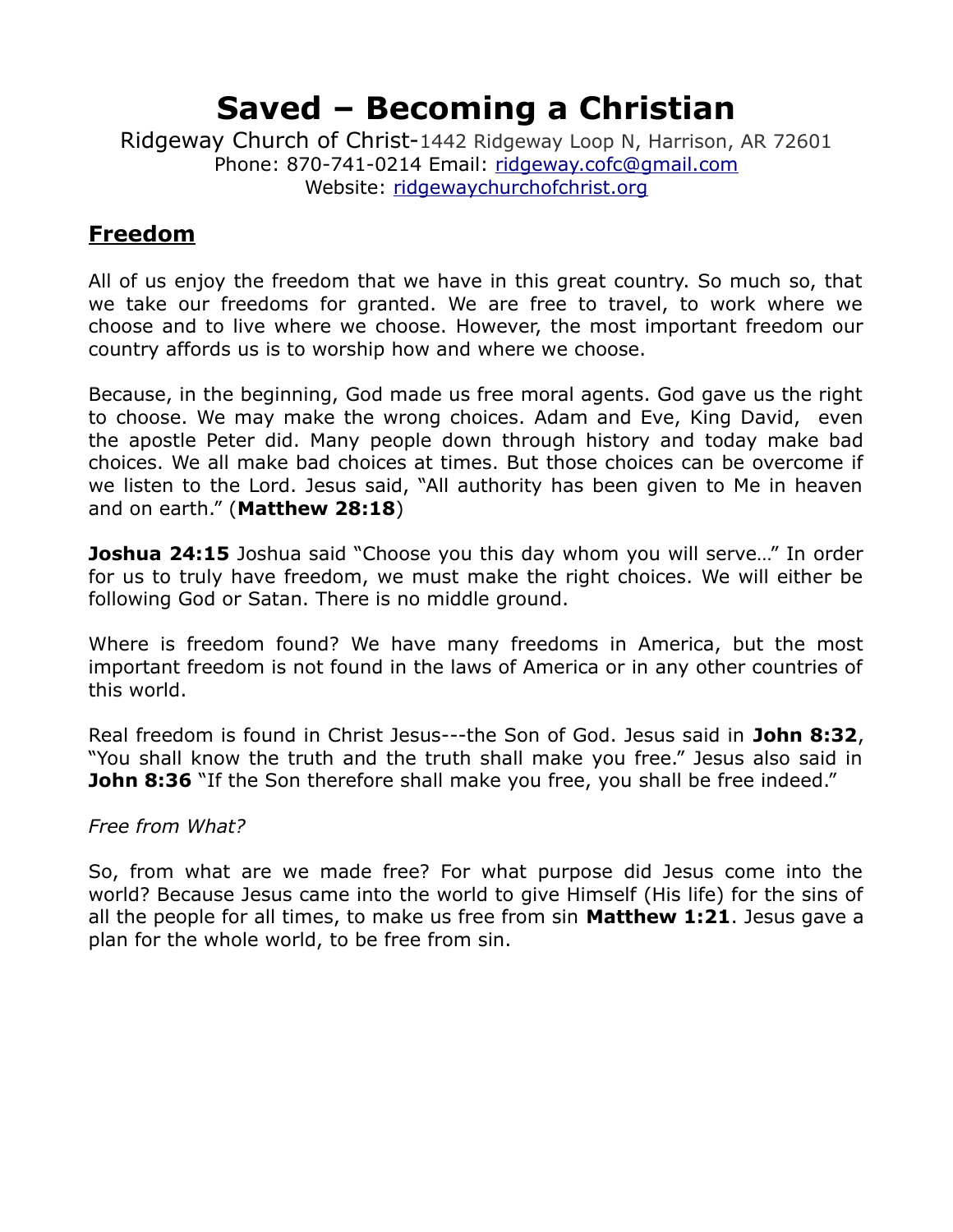Ridgeway Church of Christ-1442 Ridgeway Loop N, Harrison, AR 72601 Phone: 870-741-0214 Email: [ridgeway.cofc@gmail.com](mailto:ridgeway.cofc@gmail.com) Website: [ridgewaychurchofchrist.org](http://www.ridgewaychurchofchrist.org/)

### **Freedom**

All of us enjoy the freedom that we have in this great country. So much so, that we take our freedoms for granted. We are free to travel, to work where we choose and to live where we choose. However, the most important freedom our country affords us is to worship how and where we choose.

Because, in the beginning, God made us free moral agents. God gave us the right to choose. We may make the wrong choices. Adam and Eve, King David, even the apostle Peter did. Many people down through history and today make bad choices. We all make bad choices at times. But those choices can be overcome if we listen to the Lord. Jesus said, "All authority has been given to Me in heaven and on earth." (**Matthew 28:18**)

**Joshua 24:15** Joshua said "Choose you this day whom you will serve..." In order for us to truly have freedom, we must make the right choices. We will either be following God or Satan. There is no middle ground.

Where is freedom found? We have many freedoms in America, but the most important freedom is not found in the laws of America or in any other countries of this world.

Real freedom is found in Christ Jesus---the Son of God. Jesus said in **John 8:32**, "You shall know the truth and the truth shall make you free." Jesus also said in **John 8:36** "If the Son therefore shall make you free, you shall be free indeed."

#### *Free from What?*

So, from what are we made free? For what purpose did Jesus come into the world? Because Jesus came into the world to give Himself (His life) for the sins of all the people for all times, to make us free from sin **Matthew 1:21**. Jesus gave a plan for the whole world, to be free from sin.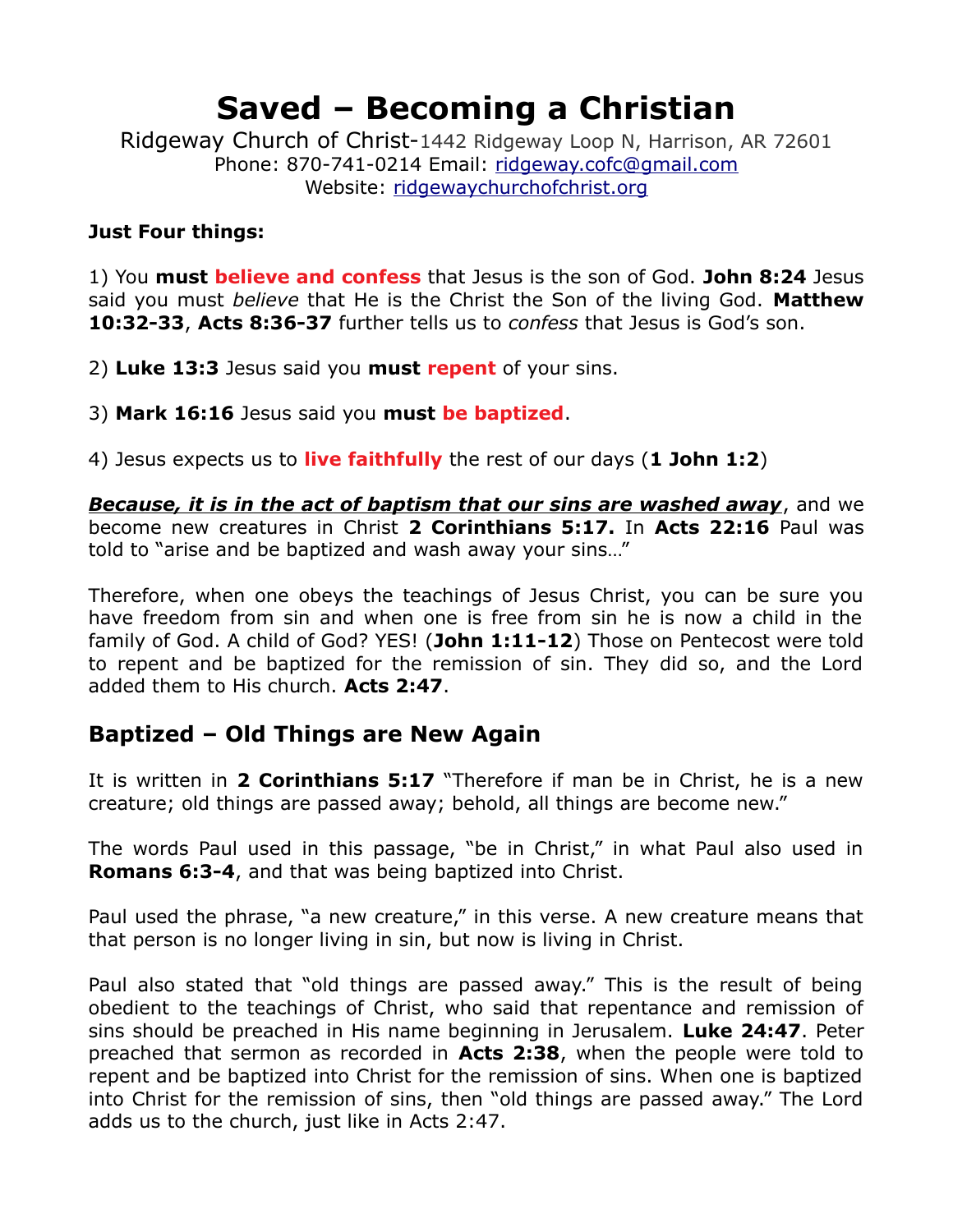Ridgeway Church of Christ-1442 Ridgeway Loop N, Harrison, AR 72601 Phone: 870-741-0214 Email: [ridgeway.cofc@gmail.com](mailto:ridgeway.cofc@gmail.com) Website: [ridgewaychurchofchrist.org](http://www.ridgewaychurchofchrist.org/)

#### **Just Four things:**

1) You **must believe and confess** that Jesus is the son of God. **John 8:24** Jesus said you must *believe* that He is the Christ the Son of the living God. **Matthew 10:32-33**, **Acts 8:36-37** further tells us to *confess* that Jesus is God's son.

2) **Luke 13:3** Jesus said you **must repent** of your sins.

3) **Mark 16:16** Jesus said you **must be baptized**.

4) Jesus expects us to **live faithfully** the rest of our days (**1 John 1:2**)

*Because, it is in the act of baptism that our sins are washed away*, and we become new creatures in Christ **2 Corinthians 5:17.** In **Acts 22:16** Paul was told to "arise and be baptized and wash away your sins…"

Therefore, when one obeys the teachings of Jesus Christ, you can be sure you have freedom from sin and when one is free from sin he is now a child in the family of God. A child of God? YES! (**John 1:11-12**) Those on Pentecost were told to repent and be baptized for the remission of sin. They did so, and the Lord added them to His church. **Acts 2:47**.

#### **Baptized – Old Things are New Again**

It is written in **2 Corinthians 5:17** "Therefore if man be in Christ, he is a new creature; old things are passed away; behold, all things are become new."

The words Paul used in this passage, "be in Christ," in what Paul also used in **Romans 6:3-4**, and that was being baptized into Christ.

Paul used the phrase, "a new creature," in this verse. A new creature means that that person is no longer living in sin, but now is living in Christ.

Paul also stated that "old things are passed away." This is the result of being obedient to the teachings of Christ, who said that repentance and remission of sins should be preached in His name beginning in Jerusalem. **Luke 24:47**. Peter preached that sermon as recorded in **Acts 2:38**, when the people were told to repent and be baptized into Christ for the remission of sins. When one is baptized into Christ for the remission of sins, then "old things are passed away." The Lord adds us to the church, just like in Acts 2:47.